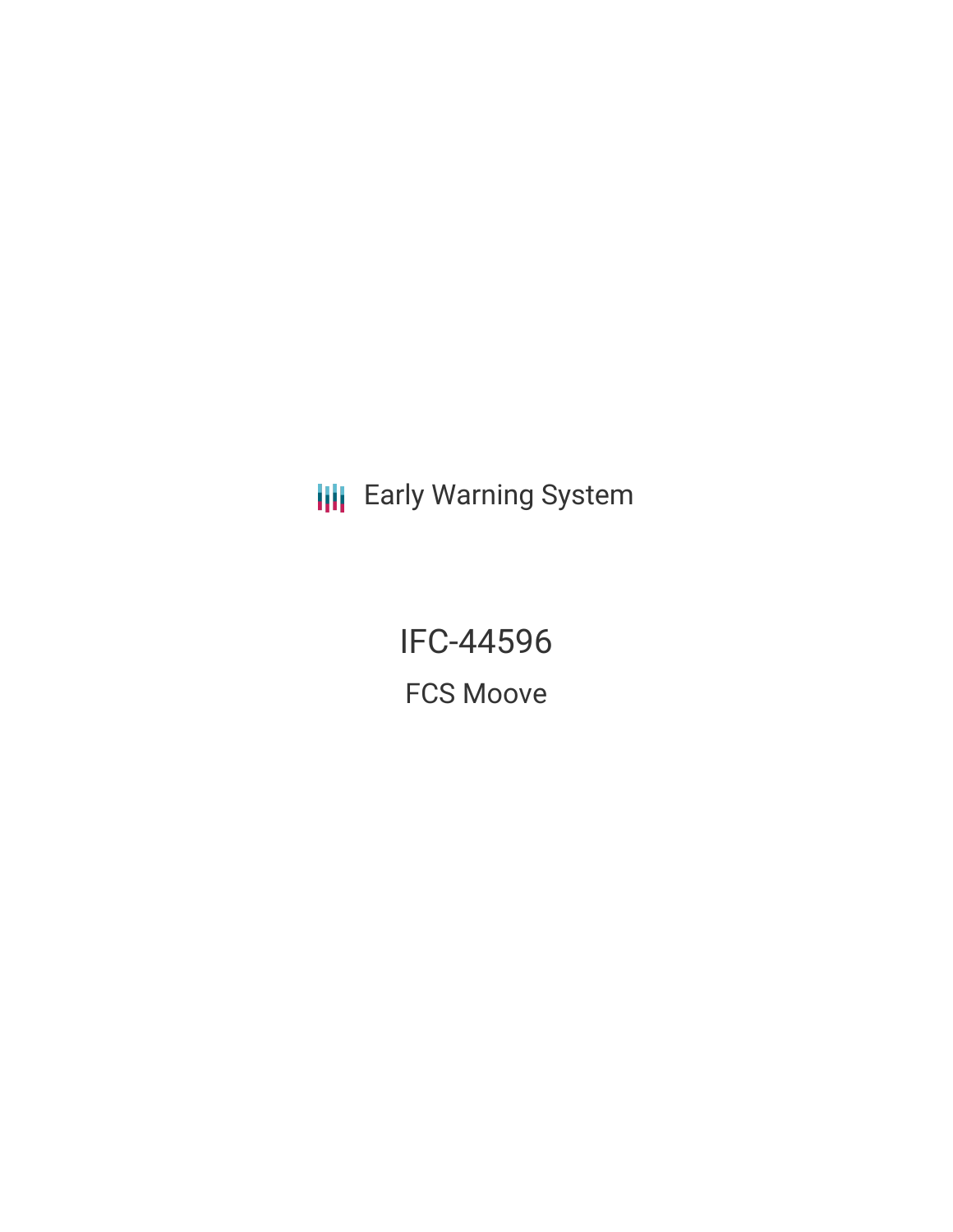**III** Early Warning System

IFC-44596 FCS Moove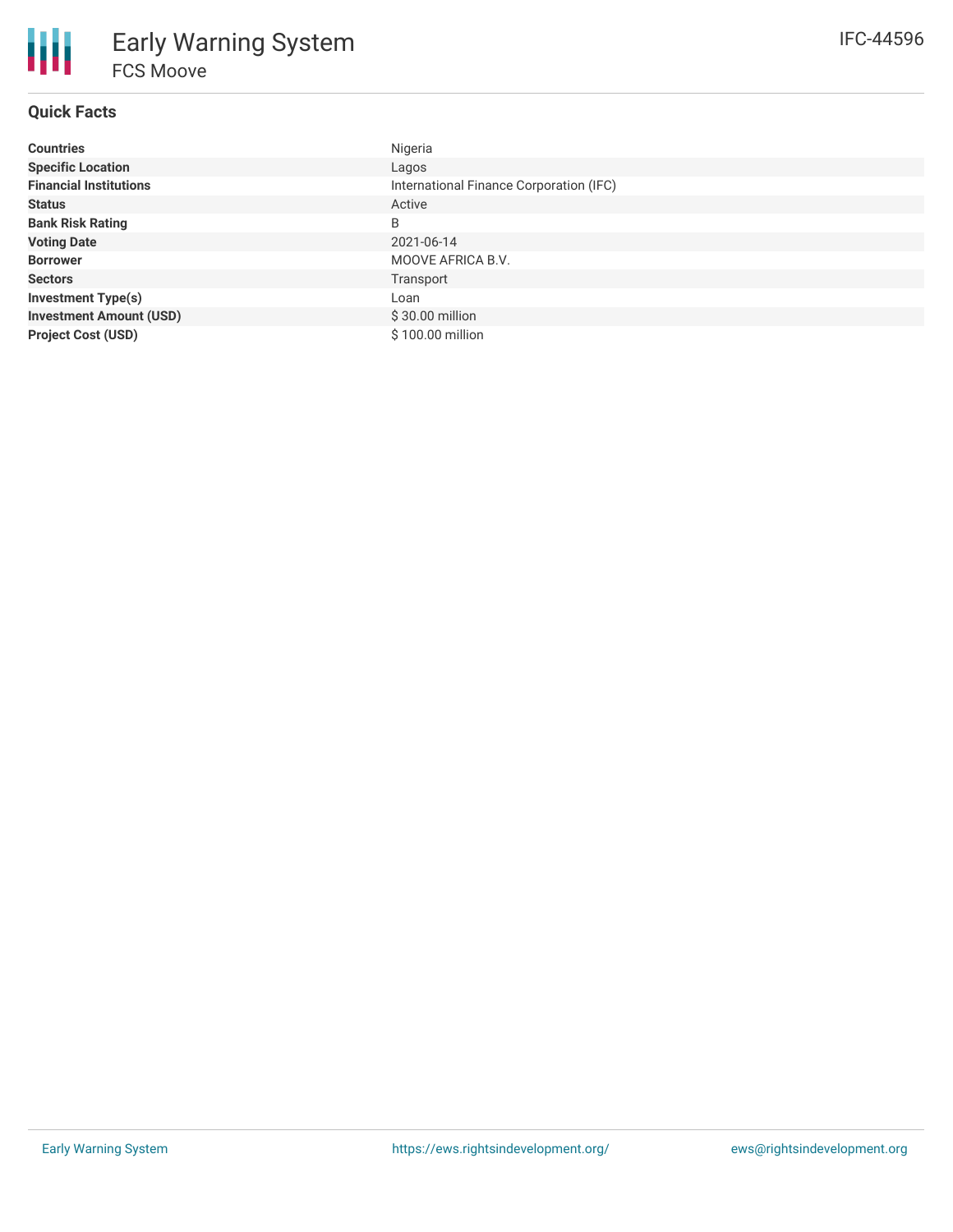# **Quick Facts**

| <b>Countries</b>               | Nigeria                                 |
|--------------------------------|-----------------------------------------|
| <b>Specific Location</b>       | Lagos                                   |
| <b>Financial Institutions</b>  | International Finance Corporation (IFC) |
| <b>Status</b>                  | Active                                  |
| <b>Bank Risk Rating</b>        | B                                       |
| <b>Voting Date</b>             | 2021-06-14                              |
| <b>Borrower</b>                | MOOVE AFRICA B.V.                       |
| <b>Sectors</b>                 | Transport                               |
| <b>Investment Type(s)</b>      | Loan                                    |
| <b>Investment Amount (USD)</b> | $$30.00$ million                        |
| <b>Project Cost (USD)</b>      | \$100.00 million                        |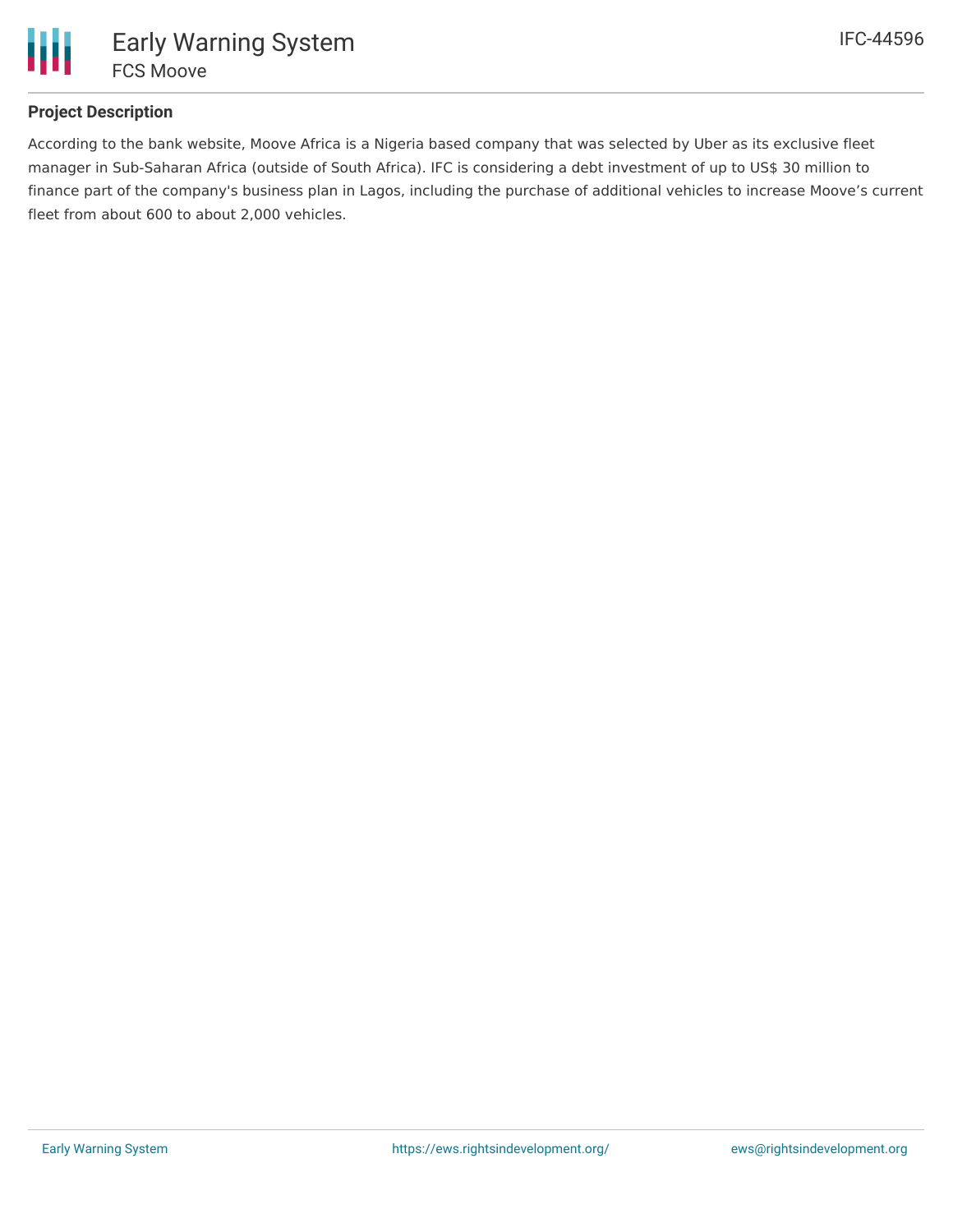

## **Project Description**

According to the bank website, Moove Africa is a Nigeria based company that was selected by Uber as its exclusive fleet manager in Sub-Saharan Africa (outside of South Africa). IFC is considering a debt investment of up to US\$ 30 million to finance part of the company's business plan in Lagos, including the purchase of additional vehicles to increase Moove's current fleet from about 600 to about 2,000 vehicles.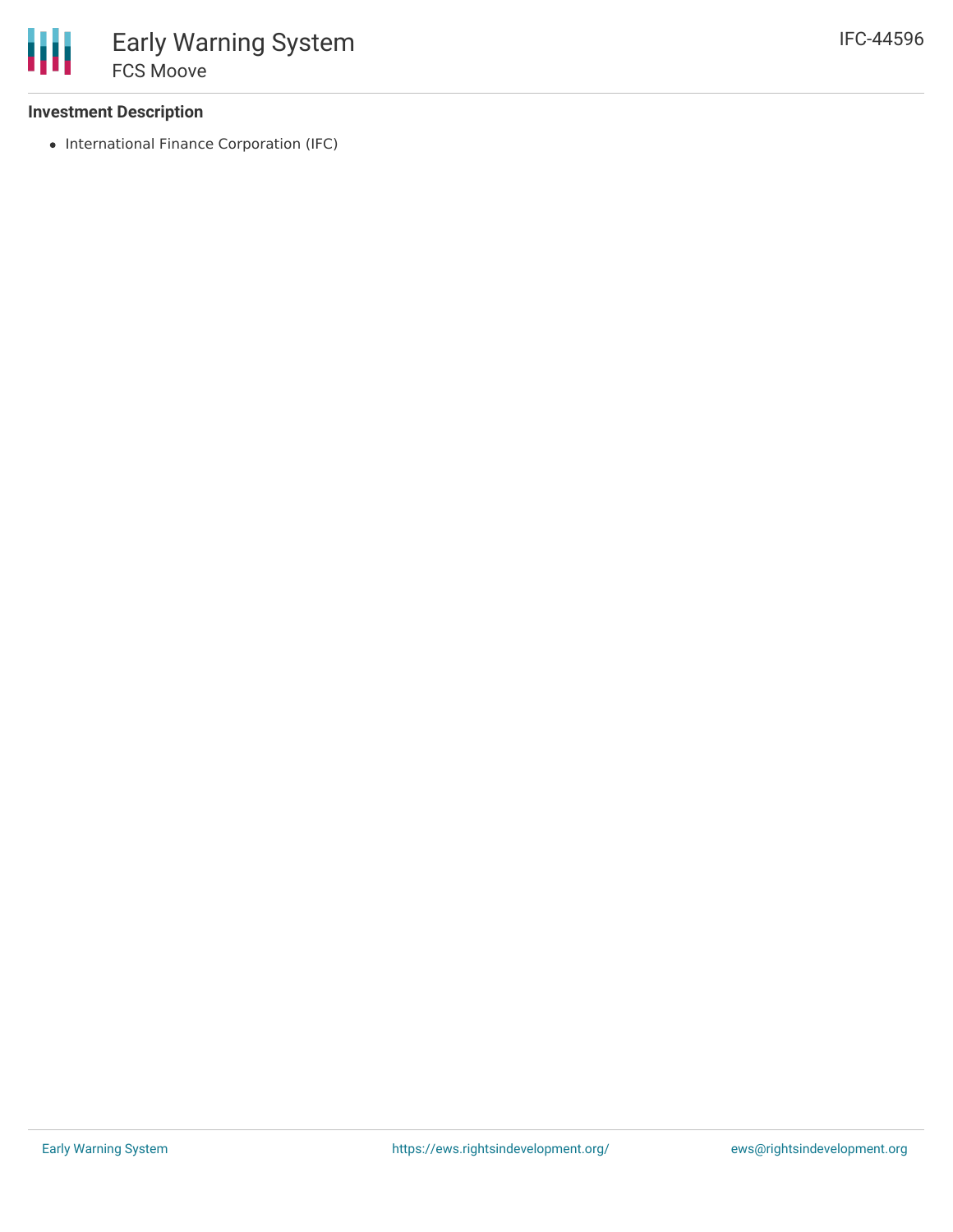# **Investment Description**

• International Finance Corporation (IFC)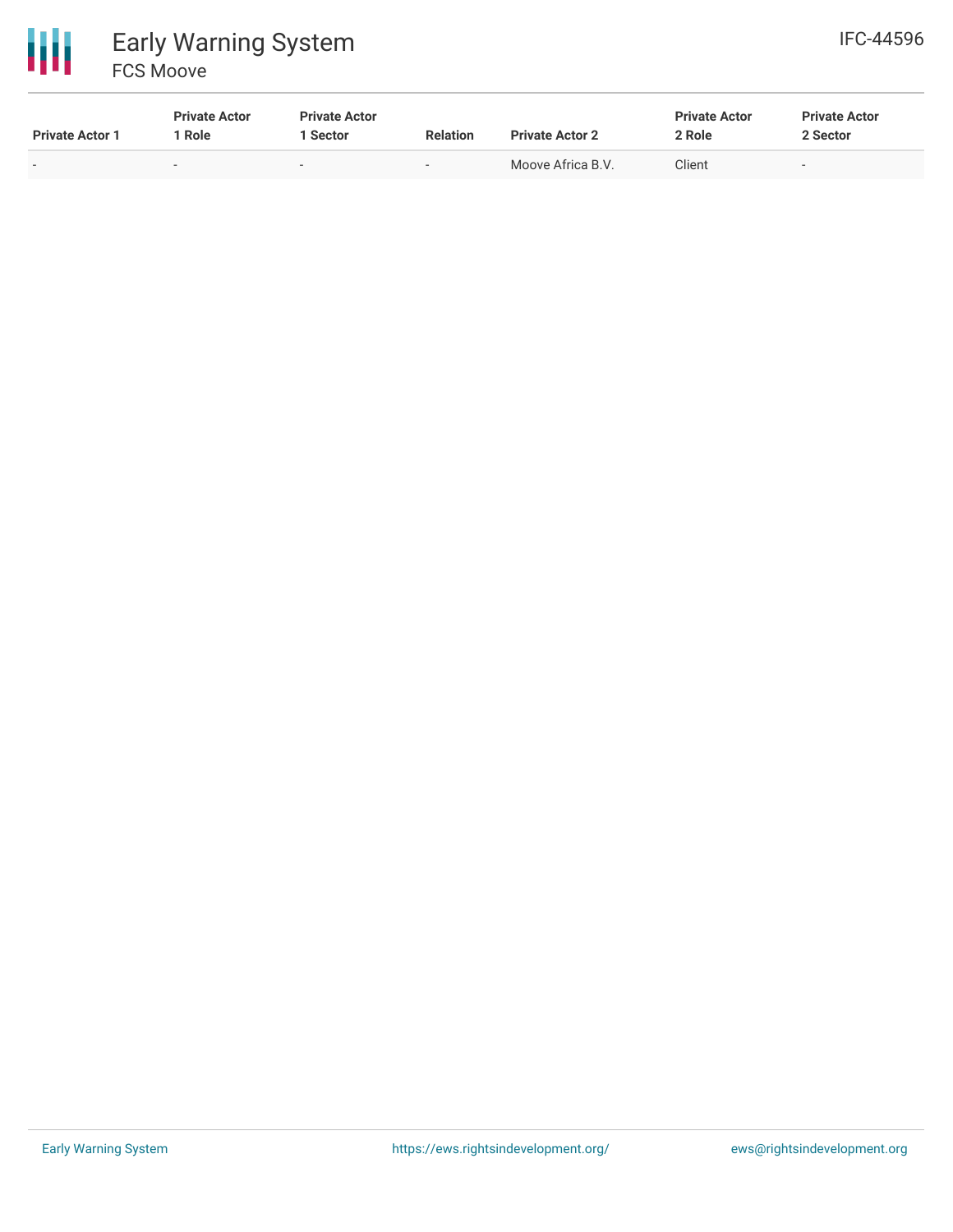

| <b>Private Actor 1</b> | <b>Private Actor</b><br>1 Role | <b>Private Actor</b><br>1 Sector | <b>Relation</b>          | <b>Private Actor 2</b> | <b>Private Actor</b><br>2 Role | <b>Private Actor</b><br>2 Sector |
|------------------------|--------------------------------|----------------------------------|--------------------------|------------------------|--------------------------------|----------------------------------|
| $\sim$                 | $\sim$                         | $\sim$                           | $\overline{\phantom{a}}$ | Moove Africa B.V.      | Client                         | $\sim$                           |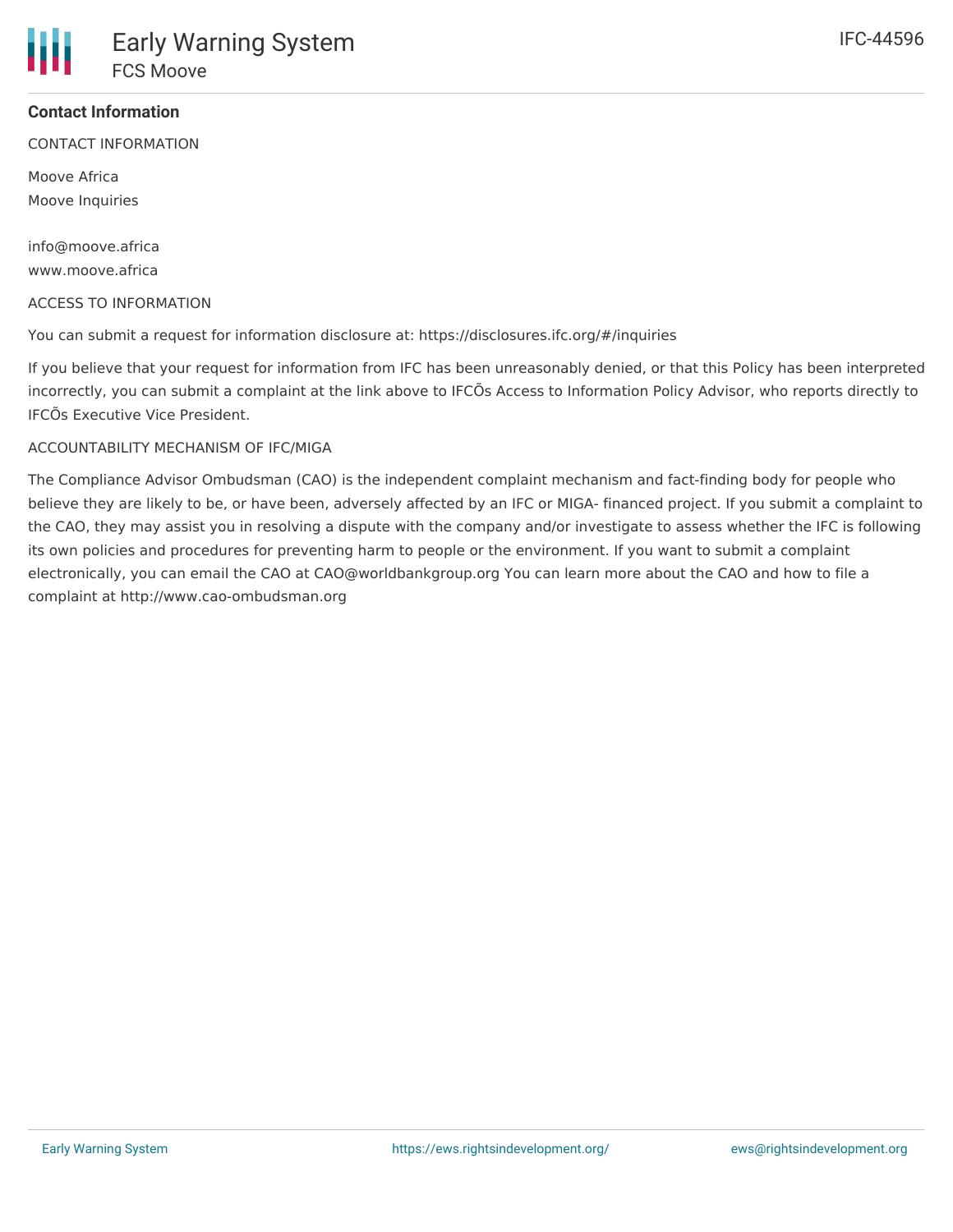#### **Contact Information**

CONTACT INFORMATION

Moove Africa Moove Inquiries

info@moove.africa www.moove.africa

#### ACCESS TO INFORMATION

You can submit a request for information disclosure at: https://disclosures.ifc.org/#/inquiries

If you believe that your request for information from IFC has been unreasonably denied, or that this Policy has been interpreted incorrectly, you can submit a complaint at the link above to IFCÕs Access to Information Policy Advisor, who reports directly to IFCÕs Executive Vice President.

#### ACCOUNTABILITY MECHANISM OF IFC/MIGA

The Compliance Advisor Ombudsman (CAO) is the independent complaint mechanism and fact-finding body for people who believe they are likely to be, or have been, adversely affected by an IFC or MIGA- financed project. If you submit a complaint to the CAO, they may assist you in resolving a dispute with the company and/or investigate to assess whether the IFC is following its own policies and procedures for preventing harm to people or the environment. If you want to submit a complaint electronically, you can email the CAO at CAO@worldbankgroup.org You can learn more about the CAO and how to file a complaint at http://www.cao-ombudsman.org